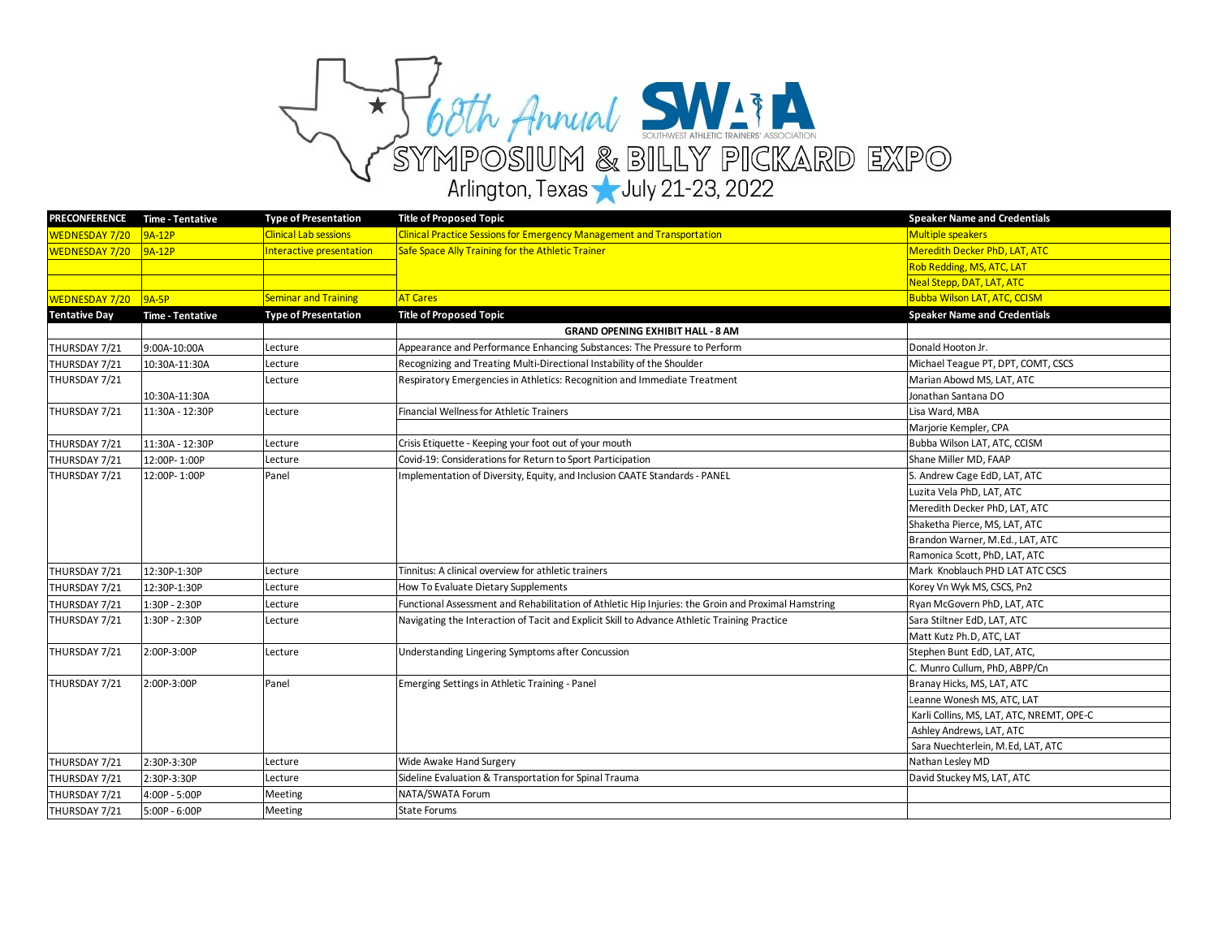

| <b>PRECONFERENCE</b>  | <b>Time - Tentative</b> | <b>Type of Presentation</b>  | <b>Title of Proposed Topic</b>                                                                      | <b>Speaker Name and Credentials</b>       |
|-----------------------|-------------------------|------------------------------|-----------------------------------------------------------------------------------------------------|-------------------------------------------|
| WEDNESDAY 7/20        | 9A-12P                  | <b>Clinical Lab sessions</b> | <b>Clinical Practice Sessions for Emergency Management and Transportation</b>                       | <b>Multiple speakers</b>                  |
| <b>WEDNESDAY 7/20</b> | 9A-12P                  | Interactive presentation     | Safe Space Ally Training for the Athletic Trainer                                                   | Meredith Decker PhD, LAT, ATC             |
|                       |                         |                              |                                                                                                     | Rob Redding, MS, ATC, LAT                 |
|                       |                         |                              |                                                                                                     | Neal Stepp, DAT, LAT, ATC                 |
| WEDNESDAY 7/20 9A-5P  |                         | <b>Seminar and Training</b>  | <b>AT Cares</b>                                                                                     | <b>Bubba Wilson LAT, ATC, CCISM</b>       |
| <b>Tentative Day</b>  | <b>Time - Tentative</b> | <b>Type of Presentation</b>  | <b>Title of Proposed Topic</b>                                                                      | <b>Speaker Name and Credentials</b>       |
|                       |                         |                              | <b>GRAND OPENING EXHIBIT HALL - 8 AM</b>                                                            |                                           |
| THURSDAY 7/21         | 9:00A-10:00A            | Lecture                      | Appearance and Performance Enhancing Substances: The Pressure to Perform                            | Donald Hooton Jr.                         |
| THURSDAY 7/21         | 10:30A-11:30A           | Lecture                      | Recognizing and Treating Multi-Directional Instability of the Shoulder                              | Michael Teague PT, DPT, COMT, CSCS        |
| THURSDAY 7/21         |                         | Lecture                      | Respiratory Emergencies in Athletics: Recognition and Immediate Treatment                           | Marian Abowd MS, LAT, ATC                 |
|                       | 10:30A-11:30A           |                              |                                                                                                     | Jonathan Santana DO                       |
| THURSDAY 7/21         | 11:30A - 12:30P         | Lecture                      | Financial Wellness for Athletic Trainers                                                            | Lisa Ward, MBA                            |
|                       |                         |                              |                                                                                                     | Marjorie Kempler, CPA                     |
| THURSDAY 7/21         | 11:30A - 12:30P         | Lecture                      | Crisis Etiquette - Keeping your foot out of your mouth                                              | Bubba Wilson LAT, ATC, CCISM              |
| THURSDAY 7/21         | 12:00P-1:00P            | Lecture                      | Covid-19: Considerations for Return to Sport Participation                                          | Shane Miller MD, FAAP                     |
| THURSDAY 7/21         | 12:00P-1:00P            | Panel                        | Implementation of Diversity, Equity, and Inclusion CAATE Standards - PANEL                          | S. Andrew Cage EdD, LAT, ATC              |
|                       |                         |                              |                                                                                                     | Luzita Vela PhD, LAT, ATC                 |
|                       |                         |                              |                                                                                                     | Meredith Decker PhD, LAT, ATC             |
|                       |                         |                              |                                                                                                     | Shaketha Pierce, MS, LAT, ATC             |
|                       |                         |                              |                                                                                                     | Brandon Warner, M.Ed., LAT, ATC           |
|                       |                         |                              |                                                                                                     | Ramonica Scott, PhD, LAT, ATC             |
| THURSDAY 7/21         | 12:30P-1:30P            | Lecture                      | Tinnitus: A clinical overview for athletic trainers                                                 | Mark Knoblauch PHD LAT ATC CSCS           |
| THURSDAY 7/21         | 12:30P-1:30P            | Lecture                      | How To Evaluate Dietary Supplements                                                                 | Korey Vn Wyk MS, CSCS, Pn2                |
| THURSDAY 7/21         | $1:30P - 2:30P$         | Lecture                      | Functional Assessment and Rehabilitation of Athletic Hip Injuries: the Groin and Proximal Hamstring | Ryan McGovern PhD, LAT, ATC               |
| THURSDAY 7/21         | 1:30P - 2:30P           | Lecture                      | Navigating the Interaction of Tacit and Explicit Skill to Advance Athletic Training Practice        | Sara Stiltner EdD, LAT, ATC               |
|                       |                         |                              |                                                                                                     | Matt Kutz Ph.D, ATC, LAT                  |
| THURSDAY 7/21         | 2:00P-3:00P             | Lecture                      | Understanding Lingering Symptoms after Concussion                                                   | Stephen Bunt EdD, LAT, ATC,               |
|                       |                         |                              |                                                                                                     | C. Munro Cullum, PhD, ABPP/Cn             |
| THURSDAY 7/21         | 2:00P-3:00P             | Panel                        | Emerging Settings in Athletic Training - Panel                                                      | Branay Hicks, MS, LAT, ATC                |
|                       |                         |                              |                                                                                                     | Leanne Wonesh MS, ATC, LAT                |
|                       |                         |                              |                                                                                                     | Karli Collins, MS, LAT, ATC, NREMT, OPE-C |
|                       |                         |                              |                                                                                                     | Ashley Andrews, LAT, ATC                  |
|                       |                         |                              |                                                                                                     | Sara Nuechterlein, M.Ed, LAT, ATC         |
| THURSDAY 7/21         | 2:30P-3:30P             | Lecture                      | Wide Awake Hand Surgery                                                                             | Nathan Lesley MD                          |
| THURSDAY 7/21         | 2:30P-3:30P             | Lecture                      | Sideline Evaluation & Transportation for Spinal Trauma                                              | David Stuckey MS, LAT, ATC                |
| THURSDAY 7/21         | 4:00P - 5:00P           | Meeting                      | NATA/SWATA Forum                                                                                    |                                           |
| THURSDAY 7/21         | 5:00P - 6:00P           | Meeting                      | <b>State Forums</b>                                                                                 |                                           |